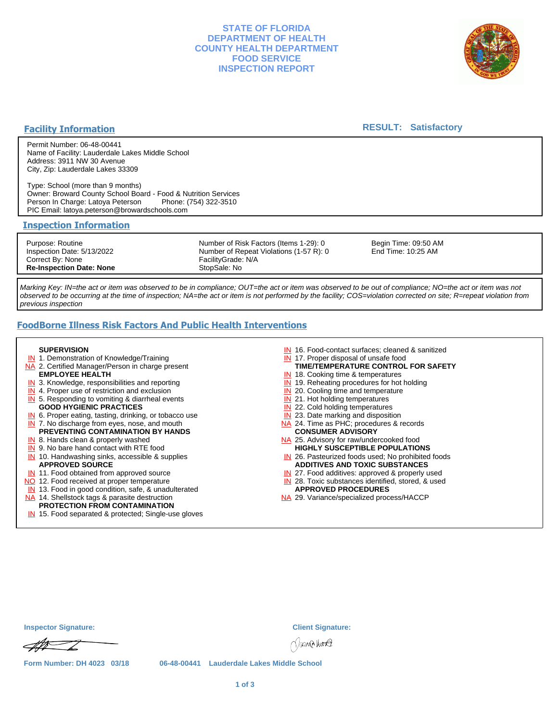## **STATE OF FLORIDA DEPARTMENT OF HEALTH COUNTY HEALTH DEPARTMENT FOOD SERVICE INSPECTION REPORT**



## **Facility Information**

## **RESULT: Satisfactory**

Permit Number: 06-48-00441 Name of Facility: Lauderdale Lakes Middle School Address: 3911 NW 30 Avenue City, Zip: Lauderdale Lakes 33309

Type: School (more than 9 months) Owner: Broward County School Board - Food & Nutrition Services Person In Charge: Latoya Peterson PIC Email: latoya.peterson@browardschools.com

### **Inspection Information**

Purpose: Routine Inspection Date: 5/13/2022 Correct By: None **Re-Inspection Date: None**

Number of Risk Factors (Items 1-29): 0 Number of Repeat Violations (1-57 R): 0 FacilityGrade: N/A StopSale: No

Begin Time: 09:50 AM End Time: 10:25 AM

Marking Key: IN=the act or item was observed to be in compliance; OUT=the act or item was observed to be out of compliance; NO=the act or item was not observed to be occurring at the time of inspection; NA=the act or item is not performed by the facility; COS=violation corrected on site; R=repeat violation from previous inspection

# **FoodBorne Illness Risk Factors And Public Health Interventions**

#### **SUPERVISION**

- **IN** 1. Demonstration of Knowledge/Training
- NA 2. Certified Manager/Person in charge present **EMPLOYEE HEALTH**
- **IN** 3. Knowledge, responsibilities and reporting
- **IN** 4. Proper use of restriction and exclusion
- **IN** 5. Responding to vomiting & diarrheal events
- **GOOD HYGIENIC PRACTICES**
- **IN** 6. Proper eating, tasting, drinking, or tobacco use **IN** 7. No discharge from eyes, nose, and mouth
- **PREVENTING CONTAMINATION BY HANDS**
- IN 8. Hands clean & properly washed
- **IN** 9. No bare hand contact with RTE food IN 10. Handwashing sinks, accessible & supplies **APPROVED SOURCE**
- **IN** 11. Food obtained from approved source
- NO 12. Food received at proper temperature
- IN 13. Food in good condition, safe, & unadulterated
- NA 14. Shellstock tags & parasite destruction

#### **PROTECTION FROM CONTAMINATION**

IN 15. Food separated & protected; Single-use gloves

- IN 16. Food-contact surfaces; cleaned & sanitized
- IN 17. Proper disposal of unsafe food
- **TIME/TEMPERATURE CONTROL FOR SAFETY**
- IN 18. Cooking time & temperatures
- **IN** 19. Reheating procedures for hot holding
- **IN** 20. Cooling time and temperature
- IN 21. Hot holding temperatures **IN** 22. Cold holding temperatures
- **IN** 23. Date marking and disposition
- NA 24. Time as PHC; procedures & records **CONSUMER ADVISORY**
- NA 25. Advisory for raw/undercooked food **HIGHLY SUSCEPTIBLE POPULATIONS**
- IN 26. Pasteurized foods used; No prohibited foods **ADDITIVES AND TOXIC SUBSTANCES**
- IN 27. Food additives: approved & properly used
- IN 28. Toxic substances identified, stored, & used **APPROVED PROCEDURES**
- NA 29. Variance/specialized process/HACCP

| <b>Inspector Signature:</b> | <b>Client Signature:</b>                   |
|-----------------------------|--------------------------------------------|
| $\mathscr{A\!\!H}$          | Nana kura                                  |
| Form Number: DH 4023 03/18  | 06-48-00441 Lauderdale Lakes Middle School |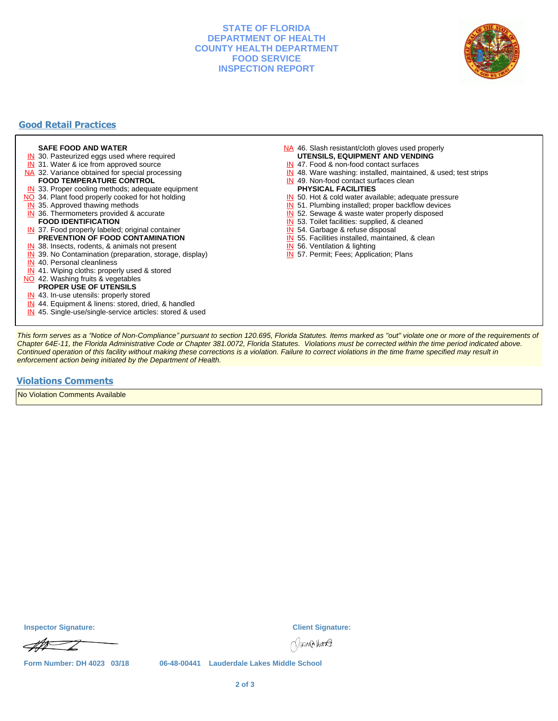## **STATE OF FLORIDA DEPARTMENT OF HEALTH COUNTY HEALTH DEPARTMENT FOOD SERVICE INSPECTION REPORT**



# **Good Retail Practices**

#### **SAFE FOOD AND WATER**

- **IN** 30. Pasteurized eggs used where required
- IN 31. Water & ice from approved source
- NA 32. Variance obtained for special processing **FOOD TEMPERATURE CONTROL**
- 
- **IN** 33. Proper cooling methods; adequate equipment
- NO 34. Plant food properly cooked for hot holding
- **IN** 35. Approved thawing methods
- IN 36. Thermometers provided & accurate **FOOD IDENTIFICATION**
- IN 37. Food properly labeled; original container **PREVENTION OF FOOD CONTAMINATION**
- IN 38. Insects, rodents, & animals not present
- **IN** 39. No Contamination (preparation, storage, display)
- IN 40. Personal cleanliness
- IN 41. Wiping cloths: properly used & stored
- NO 42. Washing fruits & vegetables
	- **PROPER USE OF UTENSILS**
- IN 43. In-use utensils: properly stored
- IN 44. Equipment & linens: stored, dried, & handled
- IN 45. Single-use/single-service articles: stored & used
- NA 46. Slash resistant/cloth gloves used properly **UTENSILS, EQUIPMENT AND VENDING**
- IN 47. Food & non-food contact surfaces
- IN 48. Ware washing: installed, maintained, & used; test strips
- IN 49. Non-food contact surfaces clean
- **PHYSICAL FACILITIES**
- IN 50. Hot & cold water available; adequate pressure
- IN 51. Plumbing installed; proper backflow devices
- IN 52. Sewage & waste water properly disposed
- IN 53. Toilet facilities: supplied, & cleaned
- IN 54. Garbage & refuse disposal
- IN 55. Facilities installed, maintained, & clean
- IN 56. Ventilation & lighting
- IN 57. Permit; Fees; Application; Plans

This form serves as a "Notice of Non-Compliance" pursuant to section 120.695, Florida Statutes. Items marked as "out" violate one or more of the requirements of Chapter 64E-11, the Florida Administrative Code or Chapter 381.0072, Florida Statutes. Violations must be corrected within the time period indicated above. Continued operation of this facility without making these corrections is a violation. Failure to correct violations in the time frame specified may result in enforcement action being initiated by the Department of Health.

#### **Violations Comments**

No Violation Comments Available

**Inspector Signature: Client Signature:**



**Form Number: DH 4023 03/18 06-48-00441 Lauderdale Lakes Middle School**